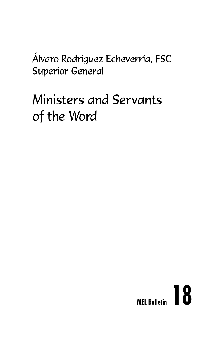Álvaro Rodríguez Echeverría, FSC Superior General

# Ministers and Servants of the Word

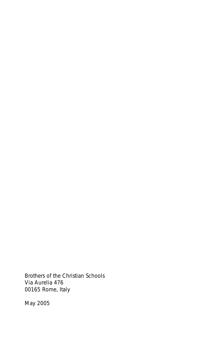Brothers of the Christian Schools Via Aurelia 476 00165 Rome, Italy

May 2005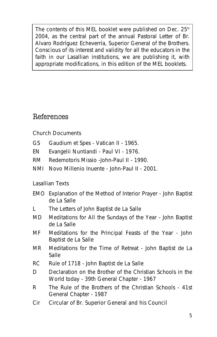The contents of this MEL booklet were published on Dec. 25<sup>th</sup> 2004, as the central part of the annual Pastoral Letter of Br. Alvaro Rodríguez Echeverría, Superior General of the Brothers. Conscious of its interest and validity for all the educators in the faith in our Lasallian institutions, we are publishing it, with appropriate modifications, in this edition of the MEL booklets.

### References

#### **Church Documents**

- GS Gaudium et Spes Vatican II 1965.
- EN Evangelii Nuntiandi Paul VI 1976.
- RM Redemotoris Missio -John-Paul II 1990.
- NMI Novo Millenio Inuente John-Paul II 2001.

#### **Lasallian Texts**

- EMO Explanation of the Method of Interior Prayer John Baptist de La Salle
- L The Letters of John Baptist de La Salle
- MD Meditations for All the Sundays of the Year John Baptist de La Salle
- MF Meditations for the Principal Feasts of the Year John Baptist de La Salle
- MR Meditations for the Time of Retreat John Baptist de La Salle
- RC Rule of 1718 John Baptist de La Salle
- D Declaration on the Brother of the Christian Schools in the World today - 39th General Chapter - 1967
- R The Rule of the Brothers of the Christian Schools 41st General Chapter - 1987
- Cir Circular of Br. Superior General and his Council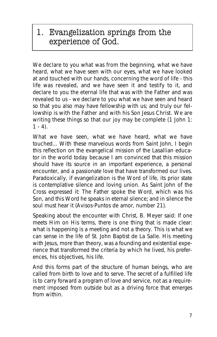1. Evangelization springs from the experience of God.

*We declare to you what was from the beginning, what we have heard, what we have seen with our eyes, what we have looked at and touched with our hands, concerning the word of life - this life was revealed, and we have seen it and testify to it, and declare to you the eternal life that was with the Father and was revealed to us - we declare to you what we have seen and heard so that you also may have fellowship with us; and truly our fellowship is with the Father and with his Son Jesus Christ. We are writing these things so that our joy may be complete* **(1 John 1: 1 - 4).**

*What we have seen, what we have heard, what we have touched...* With these marvelous words from Saint John, I begin this reflection on the evangelical mission of the Lasallian educator in the world today because I am convinced that this mission should have its source in an important experience, a personal encounter, and a passionate love that have transformed our lives. Paradoxically, if evangelization is the Word of life, its prior state is contemplative silence and loving union. As Saint John of the Cross expressed it: *The Father spoke the Word, which was his Son, and this Word he speaks in eternal silence; and in silence the soul must hear it* (Avisos-Puntos de amor, number 21).

Speaking about the encounter with Christ, B. Meyer said: *If one meets Him on His terms, there is one thing that is made clear: what is happening is a meeting and not a theory*. This is what we can sense in the life of St. John Baptist de La Salle. His meeting with Jesus, more than theory, was a founding and existential experience that transformed the criteria by which he lived, his preferences, his objectives, his life.

And this forms part of the structure of human beings, who are called from birth to love and to serve. The secret of a fulfilled life is to carry forward a program of love and service, not as a requirement imposed from outside but as a driving force that emerges from within.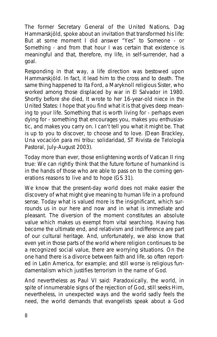The former Secretary General of the United Nations, Dag Hammarskjöld, spoke about an invitation that transformed his life: *But at some moment I did answer "Yes" to Someone - or Something - and from that hour I was certain that existence is meaningful and that, therefore, my life, in self-surrender, had a goal.*

Responding in that way, a life direction was bestowed upon Hammarskjöld. In fact, it lead him to the cross and to death. The same thing happened to Ita Ford, a Maryknoll religious Sister, who worked among those displaced by war in El Salvador in 1980. Shortly before she died, It wrote to her 16-year-old niece in the United States: *I hope that you find what it is that gives deep meaning to your life. Something that is worth living for - perhaps even dying for - something that encourages you, makes you enthusiastic, and makes you carry on. I can't tell you what it might be. That is up to you to discover, to choose and to love*. (Dean Brackley, Una vocación para mi tribu: solidaridad, ST Rivista de Telología Pastoral, July-August 2003).

Today more than ever, those enlightening words of Vatican II ring true: *We can rightly think that the future fortune of humankind is in the hands of those who are able to pass on to the coming generations reasons to live and to hope* (GS 31).

We know that the present-day world does not make easier the discovery of what might give meaning to human life in a profound sense. Today what is valued more is the insignificant, which surrounds us in our here and now and in what is immediate and pleasant. The diversion of the moment constitutes an absolute value which makes us exempt from vital searching. Having has become the ultimate end, and relativism and indifference are part of our cultural heritage. And, unfortunately, we also know that even yet in those parts of the world where religion continues to be a recognized social value, there are worrying situations. On the one hand there is a divorce between faith and life, so often reported in Latin America, for example; and still worse is religious fundamentalism which justifies terrorism in the name of God.

And nevertheless as Paul VI said: *Paradoxically, the world, in spite of innumerable signs of the rejection of God, still seeks Him, nevertheless, in unexpected ways and the world sadly feels the need, the world demands that evangelists speak about a God*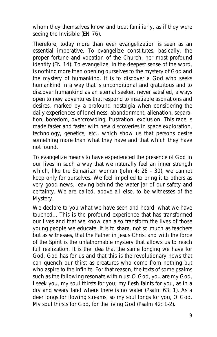*whom they themselves know and treat familiarly, as if they were seeing the Invisible* (EN 76).

Therefore, today more than ever evangelization is seen as an essential imperative. *To evangelize constitutes, basically, the proper fortune and vocation of the Church, her most profound identity* (EN 14). To evangelize, in the deepest sense of the word, is nothing more than opening ourselves to the mystery of God and the mystery of humankind. It is to discover a God who seeks humankind in a way that is unconditional and gratuitous and to discover humankind as an eternal seeker, never satisfied, always open to new adventures that respond to insatiable aspirations and desires, marked by a profound nostalgia when considering the daily experiences of loneliness, abandonment, alienation, separation, boredom, overcrowding, frustration, exclusion. This race is made faster and faster with new discoveries in space exploration, technology, genetics, etc., which show us that persons desire something more than what they have and that which they have not found.

To evangelize means to have experienced the presence of God in our lives in such a way that we naturally feel an inner strength which, like the Samaritan woman *(John 4: 28 - 30)*, we cannot keep only for ourselves. We feel impelled to bring it to others as very good news, leaving behind the water jar of our safety and certainty. We are called, above all else, to be witnesses of the Mystery.

*We declare to you what we have seen and heard, what we have touched...* This is the profound experience that has transformed our lives and that we know can also transform the lives of those young people we educate. It is to share, not so much as teachers but as witnesses, that the Father in Jesus Christ and with the force of the Spirit is the unfathomable mystery that allows us to reach full realization. It is the idea that the same longing we have for God, God has for us and that this is the revolutionary news that can quench our thirst as creatures who come from nothing but who aspire to the infinite. For that reason, the texts of some psalms such as the following resonate within us: *O God, you are my God, I seek you, my soul thirsts for you; my flesh faints for you, as in a dry and weary land where there is no water* (Psalm 63: 1)*. As a deer longs for flowing streams, so my soul longs for you, O God. My soul thirsts for God, for the living God* (Psalm 42: 1-2).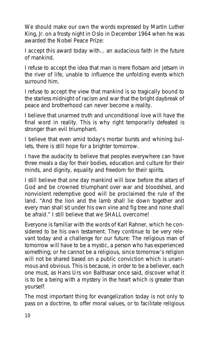We should make our own the words expressed by Martin Luther King, Jr. on a frosty night in Oslo in December 1964 when he was awarded the Nobel Peace Prize:

*I accept this award today with... an audacious faith in the future of mankind.*

*I refuse to accept the idea that man is mere flotsam and jetsam in the river of life, unable to influence the unfolding events which surround him.*

*I refuse to accept the view that mankind is so tragically bound to the starless midnight of racism and war that the bright daybreak of peace and brotherhood can never become a reality.*

*I believe that unarmed truth and unconditional love will have the final word in reality. This is why right temporarily defeated is stronger than evil triumphant.*

*I believe that even amid today's mortar bursts and whining bullets, there is still hope for a brighter tomorrow.*

*I have the audacity to believe that peoples everywhere can have three meals a day for their bodies, education and culture for their minds, and dignity, equality and freedom for their spirits.*

*I still believe that one day mankind will bow before the altars of God and be crowned triumphant over war and bloodshed, and nonviolent redemptive good will be proclaimed the rule of the land. "And the lion and the lamb shall lie down together and every man shall sit under his own vine and fig tree and none shall be afraid." I still believe that we SHALL overcome!*

Everyone is familiar with the words of Karl Rahner, which he considered to be his own testament. They continue to be very relevant today and a challenge for our future: *The religious man of tomorrow will have to be a mystic, a person who has experienced something; or he cannot be a religious, since tomorrow's religion will not be shared based on a public conviction which is unanimous and obvious*. This is because, in order to be a believer, each one must, as Hans Urs von Balthasar once said, discover *what it is to be a being with a mystery in the heart which is greater than yourself*.

The most important thing for evangelization today is not only to pass on a doctrine, to offer moral values, or to facilitate religious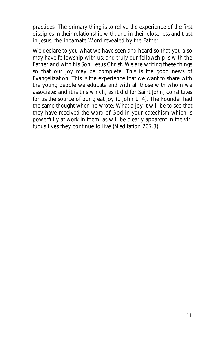practices. The primary thing is to relive the experience of the first disciples in their relationship with, and in their closeness and trust in Jesus, the incarnate Word revealed by the Father.

*We declare to you what we have seen and heard so that you also may have fellowship with us; and truly our fellowship is with the Father and with his Son, Jesus Christ. We are writing these things so that our joy may be complete*. This is the good news of Evangelization. This is the experience that we want to share with the young people we educate and with all those with whom we associate; and it is this which, as it did for Saint John, constitutes for us the source of our great joy (1 John 1: 4). The Founder had the same thought when he wrote: *What a joy it will be to see that they have received the word of God in your catechism which is powerfully at work in them, as will be clearly apparent in the virtuous lives they continue to live* (Meditation 207.3).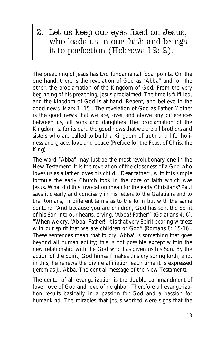### 2. Let us keep our eyes fixed on Jesus, who leads us in our faith and brings it to perfection (Hebrews 12: 2).

The preaching of Jesus has two fundamental focal points. On the one hand, there is the revelation of God as "Abba" and, on the other, the proclamation of the Kingdom of God. From the very beginning of his preaching, Jesus proclaimed: *The time is fulfilled, and the kingdom of God is at hand. Repent, and believe in the good news* (Mark 1: 15). The revelation of God as Father-Mother is the good news that we are, over and above any differences between us, all sons and daughters The proclamation of the Kingdom is, for its part, the good news that we are all brothers and sisters who are called to build a Kingdom of *truth and life, holiness and grace, love and peace* (Preface for the Feast of Christ the King).

The word "Abba" may just be the most revolutionary one in the New Testament. It is the revelation of the closeness of a God who loves us as a father loves his child. *"Dear father", with this simple formula the early Church took in the core of faith which was Jesus. What did this invocation mean for the early Christians? Paul says it clearly and concisely in his letters to the Galatians and to the Romans, in different terms as to the form but with the same content: "And because you are children, God has sent the Spirit of his Son into our hearts, crying, 'Abba! Father'"* (Galatians 4: 6). *"When we cry, 'Abba! Father!' it is that very Spirit bearing witness with our spirit that we are children of God"* (Romans 8: 15-16). *These sentences mean that to cry 'Abba' is something that goes beyond all human ability; this is not possible except within the new relationship with the God who has given us his Son. By the action of the Spirit, God himself makes this cry spring forth; and, in this, he renews the divine affiliation each time it is expressed* (Jeremías J., Abba. The central message of the New Testament).

The center of all evangelization is the double commandment of love: love of God and love of neighbor. Therefore all evangelization results basically in a passion for God and a passion for humankind. The miracles that Jesus worked were signs that the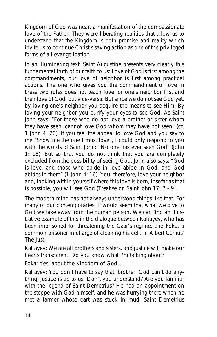Kingdom of God was near, a manifestation of the compassionate love of the Father. They were liberating realities that allow us to understand that the Kingdom is both *promise and reality* which invite us to continue Christ's saving action as one of the privileged forms of all evangelization.

In an illuminating text, Saint Augustine presents very clearly this fundamental truth of our faith to us: *Love of God is first among the commandments, but love of neighbor is first among practical actions. The one who gives you the commandment of love in these two rules does not teach love for one's neighbor first and then love of God, but vice-versa. But since we do not see God yet, by loving one's neighbor you acquire the means to see Him. By loving your neighbor you purify your eyes to see God. As Saint John says: "For those who do not love a brother or sister whom they have seen, cannot love God whom they have not seen"* (cf. 1 John 4: 20). *If you feel the appeal to love God and you say to me "Show me the one I must love", I could only respond to you with the words of Saint John: "No one has ever seen God"* (John 1: 18). *But so that you do not think that you are completely excluded from the possibility of seeing God, John also says: "God is love, and those who abide in love abide in God, and God abides in them"* (1 John 4: 16). *You, therefore, love your neighbor and, looking within yourself where this love is born, insofar as that is possible, you will see God* (Treatise on Saint John 17: 7 - 9).

The modern mind has not always understood things like that. For many of our contemporaries, it would seem that what we give to God we take away from the human person. We can find an illustrative example of this in the dialogue between Kaliayev, who has been imprisoned for threatening the Czar's regime, and Foka, a common prisoner in charge of cleaning his cell, in Albert Camus' *The Just*:

*Kaliayev*: We are all brothers and sisters, and justice will make our hearts transparent. Do you know what I'm talking about?

*Foka*: Yes, about the Kingdom of God...

*Kaliayev*: You don't have to say that, brother. God can't do anything. Justice is up to us! Don't you understand? Are you familiar with the legend of Saint Demetrius? He had an appointment on the steppe with God himself, and he was hurrying there when he met a farmer whose cart was stuck in mud. Saint Demetrius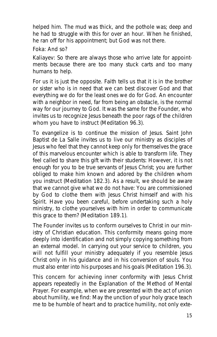helped him. The mud was thick, and the pothole was; deep and he had to struggle with this for over an hour. When he finished, he ran off for his appointment; but God was not there.

#### *Foka*: And so?

*Kaliayev*: So there are always those who arrive late for appointments because there are too many stuck carts and too many humans to help.

For us it is just the opposite. Faith tells us that it is in the brother or sister who is in need that we can best discover God and that everything we do for the least ones we do for God. An encounter with a neighbor in need, far from being an obstacle, is the normal way for our journey to God. It was the same for the Founder, who invites us to *recognize Jesus beneath the poor rags of the children whom you have to instruct* (Meditation 96.3).

To evangelize is to continue the mission of Jesus. Saint John Baptist de La Salle invites us to live our ministry as disciples of Jesus who feel that they cannot keep only for themselves the grace of this marvelous encounter which is able to transform life. They feel called to share this gift with their students: *However, it is not enough for you to be true servants of Jesus Christ; you are further obliged to make him known and adored by the children whom you instruct* (Meditation 182.3). As a result, we should be aware that we cannot give what we do not have: *You are commissioned by God to clothe them with Jesus Christ himself and with his Spirit. Have you been careful, before undertaking such a holy ministry, to clothe yourselves with him in order to communicate this grace to them?* (Meditation 189.1).

The Founder invites us to conform ourselves to Christ in our ministry of Christian education. This conformity means going more deeply into identification and not simply copying something from an external model. *In carrying out your service to children, you will not fulfill your ministry adequately if you resemble Jesus Christ only in his guidance and in his conversion of souls. You must also enter into his purposes and his goals* (Meditation 196.3).

This concern for achieving inner conformity with Jesus Christ appears repeatedly in the Explanation of the Method of Mental Prayer. For example, when we are presented with the act of union about humility, we find: *May the unction of your holy grace teach me to be humble of heart and to practice humility, not only exte-*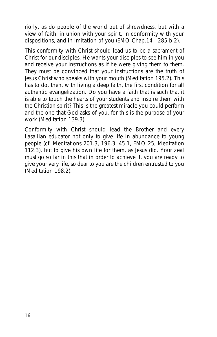*riorly, as do people of the world out of shrewdness, but with a view of faith, in union with your spirit, in conformity with your dispositions, and in imitation of you* (EMO Chap.14 - 285 b 2).

This conformity with Christ should lead us to be a *sacrament of Christ* for our disciples. *He wants your disciples to see him in you and receive your instructions as if he were giving them to them. They must be convinced that your instructions are the truth of Jesus Christ who speaks with your mouth* (Meditation 195.2). This has to do, then, with living a deep faith, the first condition for all authentic evangelization. *Do you have a faith that is such that it is able to touch the hearts of your students and inspire them with the Christian spirit? This is the greatest miracle you could perform and the one that God asks of you, for this is the purpose of your work* (Meditation 139.3).

Conformity with Christ should lead the Brother and every Lasallian educator not only to give life in abundance to young people (cf. Meditations 201.3, 196.3, 45.1, EMO 25, Meditation 112.3), but to give his own life for them, as Jesus did. *Your zeal must go so far in this that in order to achieve it, you are ready to give your very life, so dear to you are the children entrusted to you* (Meditation 198.2).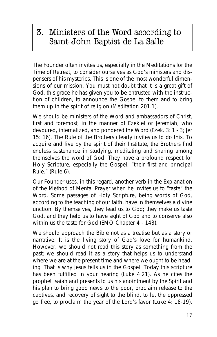### 3. Ministers of the Word according to Saint John Baptist de La Salle

The Founder often invites us, especially in the Meditations for the Time of Retreat, to consider ourselves as God's ministers and dispensers of his mysteries. This is one of the most wonderful dimensions of our mission. *You must not doubt that it is a great gift of God, this grace he has given you to be entrusted with the instruction of children, to announce the Gospel to them and to bring them up in the spirit of religion* (Meditation 201.1).

We should be ministers of the Word and ambassadors of Christ. first and foremost, in the manner of Ezekiel or Jeremiah, who devoured, internalized, and pondered the Word (Ezek. 3: 1 - 3; Jer 15: 16). The Rule of the Brothers clearly invites us to do this. *To acquire and live by the spirit of their Institute, the Brothers find endless sustenance in studying, meditating and sharing among themselves the word of God. They have a profound respect for Holy Scripture, especially the Gospel, "their first and principal Rule."* (Rule 6).

Our Founder uses, in this regard, another verb in the Explanation of the Method of Mental Prayer when he invites us to "taste" the Word. Some passages of Holy Scripture, *being words of God, according to the teaching of our faith, have in themselves a divine unction. By themselves, they lead us to God; they make us taste God, and they help us to have sight of God and to conserve also within us the taste for God* (EMO Chapter 4 - 143).

We should approach the Bible not as a treatise but as a story or narrative. It is the living story of God's love for humankind. However, we should not read this story as something from the past; we should read it as a story that helps us to understand where we are at the present time and where we ought to be heading. That is why Jesus tells us in the Gospel: *Today this scripture has been fulfilled in your hearing* (Luke 4:21). As he cites the prophet Isaiah and presents to us his anointment by the Spirit and his plan to *bring good news to the poor, proclaim release to the captives, and recovery of sight to the blind, to let the oppressed go free, to proclaim the year of the Lord's favor* (Luke 4: 18-19),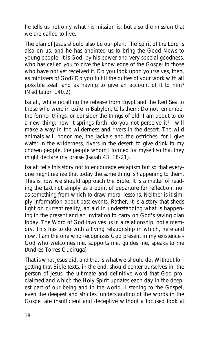he tells us not only what his mission is, but also the mission that we are called to live.

The plan of Jesus should also be our plan. The Spirit of the Lord is also on us, and he has anointed us to bring the Good News to young people. *It is God, by his power and very special goodness, who has called you to give the knowledge of the Gospel to those who have not yet received it. Do you look upon yourselves, then, as ministers of God? Do you fulfill the duties of your work with all possible zeal, and as having to give an account of it to him?* (Meditation 140.2).

Isaiah, while recalling the release from Egypt and the Red Sea to those who were in exile in Babylon, tells them: *Do not remember the former things, or consider the things of old. I am about to do a new thing; now it springs forth, do you not perceive it? I will make a way in the wilderness and rivers in the desert. The wild animals will honor me, the jackals and the ostriches; for I give water in the wilderness, rivers in the desert, to give drink to my chosen people, the people whom I formed for myself so that they might declare my praise* (Isaiah 43: 18-21).

Isaiah tells this story not to encourage escapism but so that everyone might realize that today the same thing is happening to them. This is how we should approach the Bible. It is a matter of reading the text not simply as a point of departure for reflection, nor as something from which to draw moral lessons. Neither is it simply information about past events. Rather, it is a story that sheds light on current reality, an aid in understanding what is happening in the present and an invitation to carry on God's saving plan today. The Word of God involves us in a relationship, not a memory. *This has to do with a living relationship in which, here and now, I am the one who recognizes God present in my existence - God who welcomes me, supports me, guides me, speaks to me* (Andrés Torres Queiruga).

That is what Jesus did, and that is what we should do. Without forgetting that Bible texts, in the end, should center ourselves in the person of Jesus, the ultimate and definitive word that God proclaimed and which the Holy Spirit updates each day in the deepest part of our being and in the world. *Listening to the Gospel, even the deepest and strictest understanding of the words in the Gospel are insufficient and deceptive without a focused look at*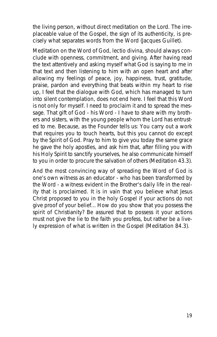*the living person, without direct meditation on the Lord. The irreplaceable value of the Gospel, the sign of its authenticity, is precisely what separates words from the Word* (Jacques Guillet).

Meditation on the Word of God, *lectio divina*, should always conclude with openness, commitment, and giving. After having read the text attentively and asking myself what God is saying to me in that text and then listening to him with an open heart and after allowing my feelings of peace, joy, happiness, trust, gratitude, praise, pardon and everything that beats within my heart to rise up, I feel that the dialogue with God, which has managed to turn into silent contemplation, does not end here. I feel that this Word is not only for myself. I need to proclaim it and to spread the message. That gift of God - his Word - I have to share with my brothers and sisters, with the young people whom the Lord has entrusted to me. Because, as the Founder tells us: *You carry out a work that requires you to touch hearts, but this you cannot do except by the Spirit of God. Pray to him to give you today the same grace he gave the holy apostles, and ask him that, after filling you with his Holy Spirit to sanctify yourselves, he also communicate himself to you in order to procure the salvation of others* (Meditation 43.3).

And the most convincing way of spreading the Word of God is one's own witness as an educator - who has been transformed by the Word - a witness evident in the Brother's daily life in the reality that is proclaimed. *It is in vain that you believe what Jesus Christ proposed to you in the holy Gospel if your actions do not give proof of your belief... How do you show that you possess the spirit of Christianity? Be assured that to possess it your actions must not give the lie to the faith you profess, but rather be a lively expression of what is written in the Gospel* (Meditation 84.3).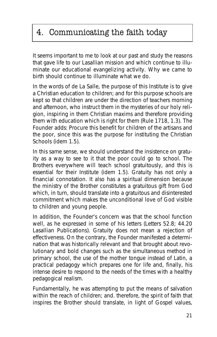# 4. Communicating the faith today

It seems important to me to look at our past and study the reasons that gave life to our Lasallian mission and which continue to illuminate our educational evangelizing activity. *Why we came to birth* should continue to illuminate *what we do*.

In the words of de La Salle, *the purpose of this Institute is to give a Christian education to children; and for this purpose schools are kept so that children are under the direction of teachers morning and afternoon, who instruct them in the mysteries of our holy religion, inspiring in them Christian maxims and therefore providing them with education which is right for them* (Rule 1718, 1.3). The Founder adds: *Procure this benefit for children of the artisans and the poor, since this was the purpose for instituting the Christian Schools* (idem 1.5).

In this same sense, we should understand the insistence on *gratuity* as a way to see to it that the poor could go to school. *The Brothers everywhere will teach school gratuitously, and this is essential for their Institute* (idem 1.5). Gratuity has not only a financial connotation. It also has a spiritual dimension because the ministry of the Brother constitutes a gratuitous gift from God which, in turn, should translate into a gratuitous and disinterested commitment which makes the unconditional love of God visible to children and young people.

In addition, the Founder's concern was that *the school function well*, as he expressed in some of his letters *(Letters 52.8; 44.20 Lasallian Publications)*. Gratuity does not mean a rejection of effectiveness. On the contrary, the Founder manifested a determination that was historically relevant and that brought about revolutionary and bold changes such as the simultaneous method in primary school, the use of the mother tongue instead of Latin, a practical pedagogy which prepares one for life and, finally, his intense desire to respond to the needs of the times with a healthy pedagogical realism.

Fundamentally, he was attempting to put the means of salvation within the reach of children; and. therefore, the spirit of faith that inspires the Brother should translate, in light of Gospel values,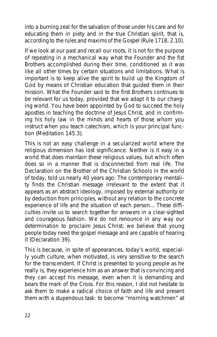into a burning zeal for the salvation of those under his care *and for educating them in piety and in the true Christian spirit, that is, according to the rules and maxims of the Gospel* (Rule 1718, 2.10).

If we look at our past and recall our roots, it is not for the purpose of repeating in a mechanical way what the Founder and the fist Brothers accomplished during their time, conditioned as it was like all other times by certain situations and limitations. What is important is to keep alive the spirit to build up the Kingdom of God by means of Christian education that guided them in their mission. What the Founder said to the first Brothers continues to be relevant for us today, provided that we adapt it to our changing world. *You have been appointed by God to succeed the holy apostles in teaching the doctrine of Jesus Christ, and in confirming his holy law in the minds and hearts of those whom you instruct when you teach catechism, which is your principal function* (Meditation 145.3).

This is not an easy challenge in a secularized world where the religious dimension has lost significance. Neither is it easy in a world that does maintain these religious values, but which often does so in a manner that is disconnected from real life. The Declaration on the Brother of the Christian Schools in the world of today, told us nearly 40 years ago: *The contemporary mentality finds the Christian message irrelevant to the extent that it appears as an abstract ideology, imposed by external authority or by deduction from principles, without any relation to the concrete experience of life and the situation of each person... These difficulties invite us to search together for answers in a clear-sighted and courageous fashion. We do not renounce in any way our determination to proclaim Jesus Christ; we believe that young people today need the gospel message and are capable of hearing it* (Declaration 39).

This is because, in spite of appearances, today's world, especially youth culture, when motivated, is very sensitive to the search for the transcendent. *If Christ is presented to young people as he really is, they experience him as an answer that is convincing and they can accept his message, even when it is demanding and bears the mark of the Cross. For this reason, I did not hesitate to ask them to make a radical choice of faith and life and present them with a stupendous task: to become "morning watchmen" at*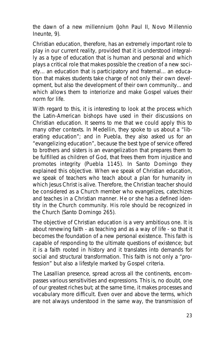*the dawn of a new millennium* (John Paul II, Novo Millennio Ineunte, 9).

Christian education, therefore, has an extremely important role to play in our current reality, provided that it is understood integrally as a type of education that is human and personal and which plays a critical role that makes possible the creation of a new society... an education that is participatory and fraternal... an education that makes students take charge of not only their own development, but also the development of their own community... and which allows them to interiorize and make Gospel values their norm for life.

With regard to this, it is interesting to look at the process which the Latin-American bishops have used in their discussions on Christian education. It seems to me that we could apply this to many other contexts. In Medellin, they spoke to us about a *"liberating education"*; and in Puebla, they also asked us for an *"evangelizing education"*, because *the best type of service offered to brothers and sisters is an evangelization that prepares them to be fulfilled as children of God, that frees them from injustice and promotes integrity* (Puebla 1145). In Santo Domingo they explained this objective. *When we speak of Christian education, we speak of teachers who teach about a plan for humanity in which Jesus Christ is alive*. Therefore, *the Christian teacher should be considered as a Church member who evangelizes, catechizes and teaches in a Christian manner. He or she has a defined identity in the Church community. His role should be recognized in the Church* (Santo Domingo 265).

The objective of Christian education is a very ambitious one. It is about renewing faith - as teaching and as a way of life - so that it becomes the foundation of a new personal existence. This faith is capable of responding to the ultimate questions of existence; but it is a faith rooted in history and it translates into demands for social and structural transformation. This faith is not only a *"profession"* but also a lifestyle marked by Gospel criteria.

The Lasallian presence, spread across all the continents, encompasses various sensitivities and expressions. This is, no doubt, one of our greatest riches but; at the same time, it makes processes and vocabulary more difficult. Even over and above the terms, which are not always understood in the same way, the transmission of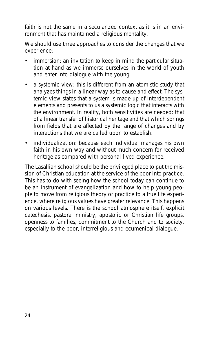faith is not the same in a secularized context as it is in an environment that has maintained a religious mentality.

We should use three approaches to consider the changes that we experience:

- **immersion**: an invitation to keep in mind the particular situation at hand as we immerse ourselves in the world of youth and enter into dialogue with the young.
- **a systemic view**: this is different from an atomistic study that analyzes things in a linear way as to cause and effect. The systemic view states that a system is made up of interdependent elements and presents to us a systemic logic that interacts with the environment. In reality, both sensitivities are needed: that of a linear transfer of historical heritage and that which springs from fields that are affected by the range of changes and by interactions that we are called upon to establish.
- **individualization**: because each individual manages his own faith in his own way and without much concern for received heritage as compared with personal lived experience.

**The Lasallian school** should be the privileged place to put the mission of Christian education at the service of the poor into practice. This has to do with seeing how the school today can continue to be an instrument of evangelization and how to help young people to move from religious theory or practice to a true life experience, where religious values have greater relevance. This happens on various levels. There is the school atmosphere itself, explicit catechesis, pastoral ministry, apostolic or Christian life groups, openness to families, commitment to the Church and to society, especially to the poor, interreligious and ecumenical dialogue.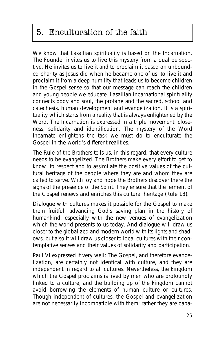# 5. Enculturation of the faith

We know that Lasallian spirituality is based on the Incarnation. The Founder invites us to live this mystery from a dual perspective. He invites us to live it and to proclaim it based on unbounded charity as Jesus did when he became one of us; to live it and proclaim it from a deep humility that leads us to become children in the Gospel sense so that our message can reach the children and young people we educate. Lasallian incarnational spirituality connects body and soul, the profane and the sacred, school and catechesis, human development and evangelization. It is a spirituality which starts from a reality that is always enlightened by the Word. The Incarnation is expressed in a triple movement: closeness, solidarity and identification. The mystery of the Word Incarnate enlightens the task we must do to enculturate the Gospel in the world's different realities.

The Rule of the Brothers tells us, in this regard, that *every culture needs to be evangelized. The Brothers make every effort to get to know, to respect and to assimilate the positive values of the cultural heritage of the people where they are and whom they are called to serve. With joy and hope the Brothers discover there the signs of the presence of the Spirit. They ensure that the ferment of the Gospel renews and enriches this cultural heritage* (Rule 18).

Dialogue with cultures makes it possible for the Gospel to make them fruitful, advancing God's saving plan in the history of humankind, especially with the new venues of evangelization which the world presents to us today. And dialogue will draw us closer to the globalized and modern world with its lights and shadows, but also it will draw us closer to local cultures with their contemplative senses and their values of solidarity and participation.

Paul VI expressed it very well: *The Gospel, and therefore evangelization, are certainly not identical with culture, and they are independent in regard to all cultures. Nevertheless, the kingdom which the Gospel proclaims is lived by men who are profoundly linked to a culture, and the building up of the kingdom cannot avoid borrowing the elements of human culture or cultures. Though independent of cultures, the Gospel and evangelization are not necessarily incompatible with them; rather they are capa-*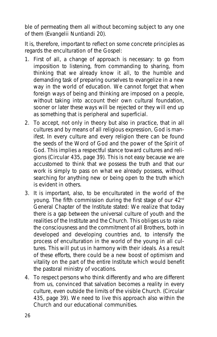*ble of permeating them all without becoming subject to any one of them* (Evangelii Nuntiandi 20).

It is, therefore, important to reflect on some concrete principles as regards the enculturation of the Gospel:

- 1. First of all, a change of approach is necessary: to go from imposition to listening, from commanding to sharing, from thinking that we already know it all, to the humble and demanding task of preparing ourselves to evangelize in a new way in the world of education. We cannot forget that when foreign ways of being and thinking are imposed on a people, without taking into account their own cultural foundation, sooner or later these ways will be rejected or they will end up as something that is peripheral and superficial.
- 2. To accept, not only in theory but also in practice, that in all cultures and by means of all religious expression, God is manifest. *In every culture and every religion there can be found the seeds of the Word of God and the power of the Spirit of God. This implies a respectful stance toward cultures and religions* (Circular 435, page 39). This is not easy because we are accustomed to think that we possess the truth and that our work is simply to pass on what we already possess, without searching for anything new or being open to the truth which is evident in others.
- 3. It is important, also, to be enculturated in the world of the young. The fifth commission during the first stage of our 42<sup>nd</sup> General Chapter of the Institute stated: *We realize that today there is a gap between the universal culture of youth and the realities of the Institute and the Church. This obliges us to raise the consciousness and the commitment of all Brothers, both in developed and developing countries and, to intensify the process of enculturation in the world of the young in all cultures. This will put us in harmony with their ideals. As a result of these efforts, there could be a new boost of optimism and vitality on the part of the entire Institute which would benefit the pastoral ministry of vocations*.
- 4. To respect persons who think differently and who are different from us, convinced that *salvation becomes a reality in every culture, even outside the limits of the visible Church*. (Circular 435, page 39). We need to live this approach also within the Church and our educational communities.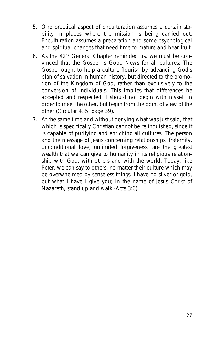- 5. One practical aspect of enculturation assumes a certain stability in places where the mission is being carried out. Enculturation assumes a preparation and some psychological and spiritual changes that need time to mature and bear fruit.
- 6. As the  $42<sup>nd</sup>$  General Chapter reminded us, we must be convinced that the Gospel is Good News for all cultures: *The Gospel ought to help a culture flourish by advancing God's plan of salvation in human history, but directed to the promotion of the Kingdom of God, rather than exclusively to the conversion of individuals. This implies that differences be accepted and respected. I should not begin with myself in order to meet the other, but begin from the point of view of the other* (Circular 435, page 39).
- 7. At the same time and without denying what was just said, that which is specifically Christian cannot be relinquished, since it is capable of purifying and enriching all cultures. The person and the message of Jesus concerning relationships, fraternity, unconditional love, unlimited forgiveness, are the greatest wealth that we can give to humanity in its religious relationship with God, with others and with the world. Today, like Peter, we can say to others, no matter their culture which may be overwhelmed by senseless things: *I have no silver or gold, but what I have I give you; in the name of Jesus Christ of Nazareth, stand up and walk* (Acts 3:6).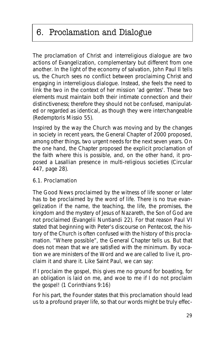# 6. Proclamation and Dialogue

The proclamation of Christ and interreligious dialogue are two actions of Evangelization, complementary but different from one another. *In the light of the economy of salvation, John Paul II tells us, the Church sees no conflict between proclaiming Christ and engaging in interreligious dialogue. Instead, she feels the need to link the two in the context of her mission 'ad gentes'. These two elements must maintain both their intimate connection and their distinctiveness; therefore they should not be confused, manipulated or regarded as identical, as though they were interchangeable* (Redemptoris Missio 55).

Inspired by the way the Church was moving and by the changes in society in recent years, the General Chapter of 2000 proposed, among other things, two urgent needs for the next seven years. On the one hand, the Chapter proposed the explicit proclamation of the faith where this is possible, and, on the other hand, it proposed a Lasallian presence in multi-religious societies (Circular 447, page 28).

#### **6.1. Proclamation**

*The Good News proclaimed by the witness of life sooner or later has to be proclaimed by the word of life. There is no true evangelization if the name, the teaching, the life, the promises, the kingdom and the mystery of Jesus of Nazareth, the Son of God are not proclaimed* (Evangelii Nuntiandi 22). For that reason Paul VI stated that beginning with Peter's discourse on Pentecost, the history of the Church is often confused with the history of this proclamation. "Where possible", the General Chapter tells us. But that does not mean that we are satisfied with the minimum. By vocation we are ministers of the Word and we are called to live it, proclaim it and share it. Like Saint Paul, we can say:

*If I proclaim the gospel, this gives me no ground for boasting, for an obligation is laid on me, and woe to me if I do not proclaim the gospel!* (1 Corinthians 9:16)

For his part, the Founder states that this proclamation should lead us to a profound prayer life, so that our words might be truly effec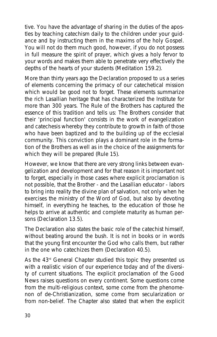tive. *You have the advantage of sharing in the duties of the apostles by teaching catechism daily to the children under your guidance and by instructing them in the maxims of the holy Gospel. You will not do them much good, however, if you do not possess in full measure the spirit of prayer, which gives a holy fervor to your words and makes them able to penetrate very effectively the depths of the hearts of your students* (Meditation 159.2).

More than thirty years ago the Declaration proposed to us a series of elements concerning the primacy of our catechetical mission which would be good not to forget. These elements summarize the rich Lasallian heritage that has characterized the Institute for more than 300 years. The Rule of the Brothers has captured the essence of this tradition and tells us: *The Brothers consider that their 'principal function' consists in the work of evangelization and catechesis whereby they contribute to growth in faith of those who have been baptized and to the building up of the ecclesial community. This conviction plays a dominant role in the formation of the Brothers as well as in the choice of the assignments for which they will be prepared* (Rule 15).

However, we know that there are very strong links between evangelization and development and for that reason it is important not to forget, especially in those cases where explicit proclamation is not possible, that *the Brother - and the Lasallian educator - labors to bring into reality the divine plan of salvation, not only when he exercises the ministry of the Word of God, but also by devoting himself, in everything he teaches, to the education of those he helps to arrive at authentic and complete maturity as human persons* (Declaration 13.5).

The Declaration also states the basic role of the catechist himself, without beating around the bush. *It is not in books or in words that the young first encounter the God who calls them, but rather in the one who catechizes them* (Declaration 40.5).

As the 43<sup>rd</sup> General Chapter studied this topic they presented us with a realistic vision of our experience today and of the diversity of current situations. The explicit proclamation of the Good News raises questions on every continent. Some questions come from the multi-religious context, some come from the phenomenon of de-Christianization, some come from secularization or from non-belief. The Chapter also stated that when the explicit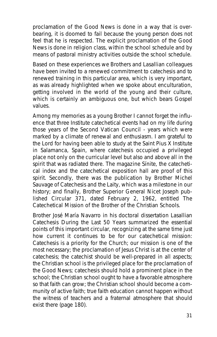proclamation of the Good News is done in a way that is overbearing, it is doomed to fail because the young person does not feel that he is respected. The explicit proclamation of the Good News is done in religion class, within the school schedule and by means of pastoral ministry activities outside the school schedule.

Based on these experiences we Brothers and Lasallian colleagues have been invited to a renewed commitment to catechesis and to renewed training in this particular area, which is very important, as was already highlighted when we spoke about enculturation, getting involved in the world of the young and their culture, which is certainly an ambiguous one, but which bears Gospel values.

Among my memories as a young Brother I cannot forget the influence that three Institute catechetical events had on my life during those years of the Second Vatican Council - years which were marked by a climate of renewal and enthusiasm. I am grateful to the Lord for having been able to study at the Saint Pius X Institute in Salamanca, Spain, where catechesis occupied a privileged place not only on the curricular level but also and above all in the spirit that was radiated there. The magazine *Sínite*, the catechetical index and the catechetical exposition hall are proof of this spirit. Secondly, there was the publication by Brother Michel Sauvage of *Catechesis and the Laity*, which was a milestone in our history; and finally, Brother Superior General Nicet Joseph published Circular 371, dated February 2, 1962, entitled *The Catechetical Mission of the Brother of the Christian Schools*.

Brother José María Navarro in his doctoral dissertation *Lasallian Catechesis During the Last 50 Years* summarized the essential points of this important circular, recognizing at the same time just how current it continues to be for our catechetical mission: *Catechesis is a priority for the Church; our mission is one of the most necessary; the proclamation of Jesus Christ is at the center of catechesis; the catechist should be well-prepared in all aspects; the Christian school is the privileged place for the proclamation of the Good News; catechesis should hold a prominent place in the school; the Christian school ought to have a favorable atmosphere so that faith can grow; the Christian school should become a community of active faith; true faith education cannot happen without the witness of teachers and a fraternal atmosphere that should exist there* (page 180).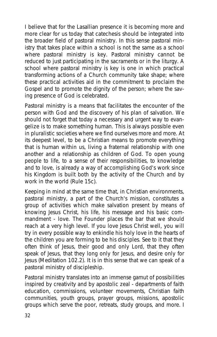I believe that for the Lasallian presence it is becoming more and more clear for us today that catechesis should be integrated into the broader field of pastoral ministry. In this sense pastoral ministry that takes place within a school is not the same as a school where pastoral ministry is key. Pastoral ministry cannot be reduced to just participating in the sacraments or in the liturgy. A school where pastoral ministry is key is one in which practical transforming actions of a Church community take shape; where these practical activities aid in the commitment to proclaim the Gospel and to promote the dignity of the person; where the saving presence of God is celebrated.

Pastoral ministry is a means that facilitates the encounter of the person with God and the discovery of his plan of salvation. We should not forget that today a necessary and urgent way to evangelize is to make something human. This is always possible even in pluralistic societies where we find ourselves more and more. At its deepest level, to be a Christian means to promote everything that is human within us, living a fraternal relationship with one another and a relationship as children of God. *To open young people to life, to a sense of their responsibilities, to knowledge and to love, is already a way of accomplishing God's work since his Kingdom is built both by the activity of the Church and by work in the world* (Rule 15c).

Keeping in mind at the same time that, in Christian environments, pastoral ministry, a part of the Church's mission, constitutes a group of activities which make salvation present by means of knowing Jesus Christ, his life, his message and his basic commandment - love. The Founder places the bar that we should reach at a very high level. *If you love Jesus Christ well, you will try in every possible way to enkindle his holy love in the hearts of the children you are forming to be his disciples. See to it that they often think of Jesus, their good and only Lord, that they often speak of Jesus, that they long only for Jesus, and desire only for Jesus* (Meditation 102.2). It is in this sense that we can speak of a pastoral ministry of discipleship.

Pastoral ministry translates into an immense gamut of possibilities inspired by creativity and by apostolic zeal - departments of faith education, commissions, volunteer movements, Christian faith communities, youth groups, prayer groups, missions, apostolic groups which serve the poor, retreats, study groups, and more. I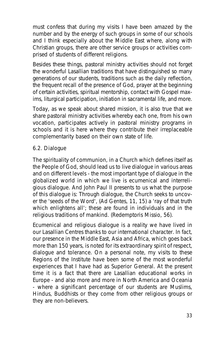must confess that during my visits I have been amazed by the number and by the energy of such groups in some of our schools and I think especially about the Middle East where, along with Christian groups, there are other service groups or activities comprised of students of different religions.

Besides these things, pastoral ministry activities should not forget the wonderful Lasallian traditions that have distinguished so many generations of our students, traditions such as the daily reflection, the frequent recall of the presence of God, prayer at the beginning of certain activities, spiritual mentorship, contact with Gospel maxims, liturgical participation, initiation in sacramental life, and more.

Today, as we speak about shared mission, it is also true that we share pastoral ministry activities whereby each one, from his own vocation, participates actively in pastoral ministry programs in schools and it is here where they contribute their irreplaceable complementarity based on their own state of life.

#### **6.2. Dialogue**

The spirituality of communion, in a Church which defines itself as the People of God, should lead us to live dialogue in various areas and on different levels - the most important type of dialogue in the globalized world in which we live is ecumenical and interreligious dialogue. And John Paul II presents to us what the purpose of this dialogue is: *Through dialogue, the Church seeks to uncover the 'seeds of the Word'*, (Ad Gentes, 11, 15) *a 'ray of that truth which enlightens all'; these are found in individuals and in the religious traditions of mankind.* (Redemptoris Missio, 56).

Ecumenical and religious dialogue is a reality we have lived in our Lasallian Centres thanks to our international character. In fact, our presence in the Middle East, Asia and Africa, which goes back more than 150 years, is noted for its extraordinary spirit of respect, dialogue and tolerance. On a personal note, my visits to these Regions of the Institute have been some of the most wonderful experiences that I have had as Superior General. At the present time it is a fact that there are Lasallian educational works in Europe - and also more and more in North America and Oceania - where a significant percentage of our students are Muslims, Hindus, Buddhists or they come from other religious groups or they are non-believers.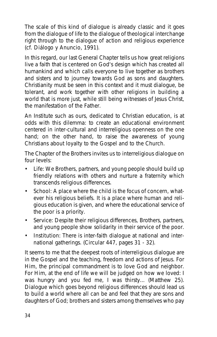The scale of this kind of dialogue is already classic and it goes from the dialogue of life to the dialogue of theological interchange right through to the dialogue of action and religious experience (cf. Diálogo y Anuncio, 1991).

In this regard, our last General Chapter tells us how great religions live a faith that is centered on God's design which has created all humankind and which calls everyone to live together as brothers and sisters and to journey towards God as sons and daughters. Christianity must be seen in this context and it must dialogue, be tolerant, and work together with other religions in building a world that is more just, while still being witnesses of Jesus Christ, the manifestation of the Father.

An Institute such as ours, dedicated to Christian education, is at odds with this dilemma: to create an educational environment centered in inter-cultural and interreligious openness on the one hand; on the other hand, to raise the awareness of young Christians about loyalty to the Gospel and to the Church.

The Chapter of the Brothers invites us to interreligious dialogue on four levels:

- **Life**: We Brothers, partners, and young people should build up friendly relations with others and nurture a fraternity which transcends religious differences.
- **School**: A place where the child is the focus of concern, whatever his religious beliefs. It is a place where human and religious education is given, and where the educational service of the poor is a priority.
- **Service**: Despite their religious differences, Brothers, partners, and young people show solidarity in their service of the poor.
- **Institution**: There is inter-faith dialogue at national and international gatherings. (Circular 447, pages 31 - 32).

It seems to me that the deepest roots of interreligious dialogue are in the Gospel and the teaching, freedom and actions of Jesus. For Him, the principal commandment is to love God and neighbor. For Him, at the end of life we will be judged on how we loved: *I was hungry and you fed me, I was thirsty...* (Matthew 25). Dialogue which goes beyond religious differences should lead us to build a world where all can be and feel that they are sons and daughters of God; brothers and sisters among themselves who pay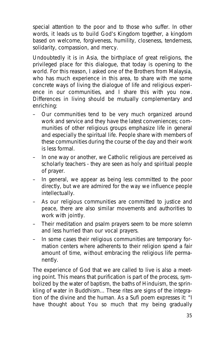special attention to the poor and to those who suffer. In other words, it leads us to build God's Kingdom together, a kingdom based on welcome, forgiveness, humility, closeness, tenderness, solidarity, compassion, and mercy.

Undoubtedly it is in Asia, the birthplace of great religions, the privileged place for this dialogue, that today is opening to the world. For this reason, I asked one of the Brothers from Malaysia, who has much experience in this area, to share with me some concrete ways of living the dialogue of life and religious experience in our communities, and I share this with you now. Differences in living should be mutually complementary and enriching:

- Our communities tend to be very much organized around work and service and they have the latest conveniences; communities of other religious groups emphasize life in general and especially the spiritual life. People share with members of these communities during the course of the day and their work is less formal.
- In one way or another, we Catholic religious are perceived as scholarly teachers - they are seen as holy and spiritual people of prayer.
- In general, we appear as being less committed to the poor directly, but we are admired for the way we influence people intellectually.
- As our religious communities are committed to justice and peace, there are also similar movements and authorities to work with jointly.
- Their meditation and psalm prayers seem to be more solemn and less hurried than our vocal prayers.
- In some cases their religious communities are temporary formation centers where adherents to their religion spend a fair amount of time, without embracing the religious life permanently.

The **experience of God** that we are called to live is also a meeting point. This means that *purification* is part of the process, symbolized by the water of baptism, the baths of Hinduism, the sprinkling of water in Buddhism... These rites are signs of the integration of the divine and the human. As a Sufi poem expresses it: *"I have thought about You so much that my being gradually*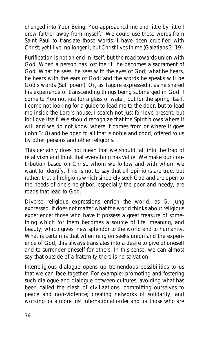*changed into Your Being. You approached me and little by little I drew farther away from myself."* We could use these words from Saint Paul to translate those words: *I have been crucified with Christ; yet I live, no longer I, but Christ lives in me* (Galatians 2: 19).

Purification is not an end in itself, but the road towards union with God. When a person has lost the *"I"* he becomes a sacrament of God. *What he sees, he sees with the eyes of God; what he hears, he hears with the ears of God; and the words he speaks will be God's words* (Sufi poem). Or, as Tagore expressed it as he shared his experience of transcending things being submerged in God: *I come to You not just for a glass of water, but for the spring itself. I come not looking for a guide to lead me to the door, but to lead me inside the Lord's house; I search not just for love present, but for Love itself*. We should recognize that the Spirit *blows where it will and we do not know where it comes from or where it goes* (John 3: 8) and be open to all that is noble and good, offered to us by other persons and other religions.

This certainly does not mean that we should fall into the trap of relativism and think that everything has value. We make our contribution based on Christ, whom we follow and with whom we want to identify. This is not to say that all opinions are true, but rather, that all religions which sincerely seek God and are open to the needs of one's neighbor, especially the poor and needy, are roads that lead to God.

Diverse religious expressions enrich the world, as G. Jung expressed. *It does not matter what the world thinks about religious experience; those who have it possess a great treasure of something which for them becomes a source of life, meaning, and beauty, which gives new splendor to the world and to humanity*. What is certain is that when religion seeks union and the experience of God, this always translates into a desire to give of oneself and to surrender oneself for others. In this sense, we can almost say that outside of a fraternity there is no salvation.

Interreligious dialogue opens up tremendous possibilities to us that we can face together. For example: promoting and fostering such dialogue and dialogue between cultures, avoiding what has been called the clash of civilizations; committing ourselves to peace and non-violence; creating networks of solidarity, and working for a more just international order and for those who are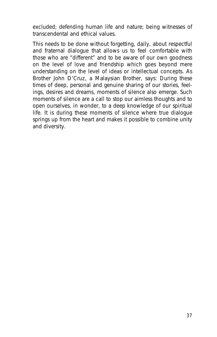excluded; defending human life and nature; being witnesses of transcendental and ethical values.

This needs to be done without forgetting, daily, about respectful and fraternal dialogue that allows us to feel comfortable with those who are *"different"* and to be aware of our own goodness on the level of love and friendship which goes beyond mere understanding on the level of ideas or intellectual concepts. As Brother John D'Cruz, a Malaysian Brother, says: *During these times of deep, personal and genuine sharing of our stories, feelings, desires and dreams, moments of silence also emerge. Such moments of silence are a call to stop our aimless thoughts and to open ourselves, in wonder, to a deep knowledge of our spiritual life. It is during these moments of silence where true dialogue springs up from the heart and makes it possible to combine unity and diversity*.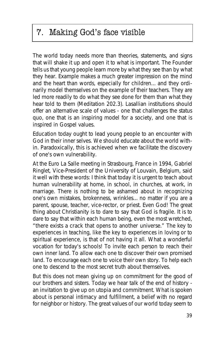# 7. Making God's face visible

The world today needs more than theories, statements, and signs that will shake it up and open it to what is important. The Founder tells us that young people learn more by what they see than by what they hear. *Example makes a much greater impression on the mind and the heart than words, especially for children... and they ordinarily model themselves on the example of their teachers. They are led more readily to do what they see done for them than what they hear told to them* (Meditation 202.3). Lasallian institutions should offer an alternative scale of values - one that challenges the status quo, one that is an inspiring model for a society, and one that is inspired in Gospel values.

Education today ought to lead young people to an encounter with God in their inner selves. We should educate about the world within. Paradoxically, this is achieved when we facilitate the discovery of one's own vulnerability.

At the Euro La Salle meeting in Strasbourg, France in 1994, Gabriel Ringlet, Vice-President of the University of Louvain, Belgium, said it well with these words: *I think that today it is urgent to teach about human vulnerability at home, in school, in churches, at work, in marriage. There is nothing to be ashamed about in recognizing one's own mistakes, brokenness, wrinkles... no matter if you are a parent, spouse, teacher, vice-rector, or priest. Even God! The great thing about Christianity is to dare to say that God is fragile. It is to dare to say that within each human being, even the most wretched, "there exists a crack that opens to another universe." The key to experiences in teaching, like the key to experiences in loving or to spiritual experience, is that of not having it all. What a wonderful vocation for today's schools! To invite each person to reach their own inner land. To allow each one to discover their own promised land. To encourage each one to voice their own story. To help each one to descend to the most secret truth about themselves*.

But this does not mean giving up on commitment for the good of our brothers and sisters. Today we hear talk of the end of history an invitation to give up on utopia and commitment. What is spoken about is personal intimacy and fulfillment, a belief with no regard for neighbor or history. The great values of our world today seem to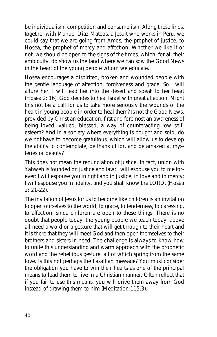be individualism, competition and consumerism. Along these lines, together with Manuel Díaz Mateos, a Jesuit who works in Peru, we could say that we are going from Amos, the prophet of justice, to Hosea, the prophet of mercy and affection. Whether we like it or not, we should be open to the signs of the times, which, for all their ambiguity, do show us the land where we can sow the Good News in the heart of the young people whom we educate.

Hosea encourages a dispirited, broken and wounded people with the gentle language of affection, forgiveness and grace: *So I will allure her; I will lead her into the desert and speak to her heart* (Hosea 2: 16). God decides to heal Israel with great affection. Might this not be a call for us to take more seriously the wounds of the heart in young people in order to heal them? Is not the Good News, provided by Christian education, first and foremost an awareness of being loved, valued, blessed, a way of counteracting low selfesteem? And in a society where everything is bought and sold, do we not have to become gratuitous, which will allow us to develop the ability to contemplate, be thankful for, and be amazed at mysteries or beauty?

This does not mean the renunciation of justice. In fact, union with Yahweh is founded on justice and law: *I will espouse you to me forever: I will espouse you in right and in justice, in love and in mercy; I will espouse you in fidelity, and you shall know the LORD*. (Hosea 2: 21-22).

The invitation of Jesus for us to become like children is an invitation to open ourselves to the world, to grace, to tenderness, to caressing, to affection, since children are open to these things. There is no doubt that people today, the young people we teach today, above all need a word or a gesture that will get through to their heart and it is there that they will meet God and then open themselves to their brothers and sisters in need. The challenge is always to know how to unite this understanding and warm approach with the prophetic word and the rebellious gesture, all of which spring from the same love. Is this not perhaps the Lasallian message? *You must consider the obligation you have to win their hearts as one of the principal means to lead them to live in a Christian manner. Often reflect that if you fail to use this means, you will drive them away from God instead of drawing them to him* (Meditation 115.3).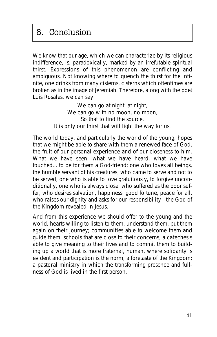# 8. Conclusion

We know that our age, which we can characterize by its religious indifference, is, paradoxically, marked by an irrefutable spiritual thirst. Expressions of this phenomenon are conflicting and ambiguous. Not knowing where to quench the thirst for the infinite, one drinks from many cisterns, cisterns which oftentimes are broken as in the image of Jeremiah. Therefore, along with the poet Luis Rosales, we can say:

> *We can go at night, at night, We can go with no moon, no moon, So that to find the source. It is only our thirst that will light the way for us.*

The world today, and particularly the world of the young, hopes that we might be able to share with them a renewed face of God, the fruit of our personal experience and of our closeness to him. *What we have seen, what we have heard, what we have touched...* to be for them a God-friend; one who loves all beings, the humble servant of his creatures, who came to serve and not to be served, one who is able to love gratuitously, to forgive unconditionally, one who is always close, who suffered as the poor suffer, who desires salvation, happiness, good fortune, peace for all, who raises our dignity and asks for our responsibility - the God of the Kingdom revealed in Jesus.

And from this experience we should offer to the young and the world, hearts willing to listen to them, understand them, put them again on their journey; **communities** able to welcome them and guide them; **schools** that are close to their concerns; a **catechesis** able to give meaning to their lives and to commit them to building up a world that is more fraternal, human, where solidarity is evident and participation is the norm, a foretaste of the Kingdom; a **pastoral ministry** in which the transforming presence and fullness of God is lived in the first person.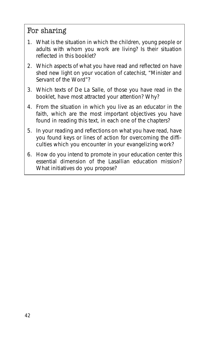### For sharing

- 1. What is the situation in which the children, young people or adults with whom you work are living? Is their situation reflected in this booklet?
- 2. Which aspects of what you have read and reflected on have shed new light on your vocation of catechist, "Minister and Servant of the Word"?
- 3. Which texts of De La Salle, of those you have read in the booklet, have most attracted your attention? Why?
- 4. From the situation in which you live as an educator in the faith, which are the most important objectives you have found in reading this text, in each one of the chapters?
- 5. In your reading and reflections on what you have read, have you found keys or lines of action for overcoming the difficulties which you encounter in your evangelizing work?
- 6. How do you intend to promote in your education center this essential dimension of the Lasallian education mission? What initiatives do you propose?